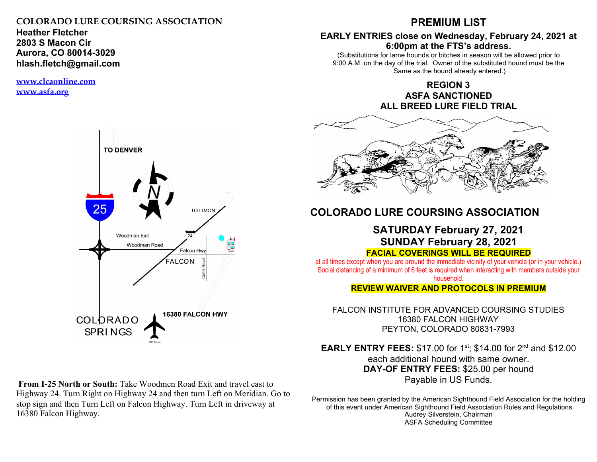### **COLORADO LURE COURSING ASSOCIATION**

**Heather Fletcher 2803 S Macon Cir Aurora, CO 80014-3029 hlash.fletch@gmail.com**

**www.clcaonline.com www.asfa.org**



**From I-25 North or South:** Take Woodmen Road Exit and travel east to Highway 24. Turn Right on Highway 24 and then turn Left on Meridian. Go to stop sign and then Turn Left on Falcon Highway. Turn Left in driveway at 16380 Falcon Highway.

# **PREMIUM LIST**

## **EARLY ENTRIES close on Wednesday, February 24, 2021 at 6:00pm at the FTS's address.**

(Substitutions for lame hounds or bitches in season will be allowed prior to 9:00 A.M. on the day of the trial. Owner of the substituted hound must be the Same as the hound already entered.)

> **REGION 3 ASFA SANCTIONED ALL BREED LURE FIELD TRIAL**



# **COLORADO LURE COURSING ASSOCIATION**

## **SATURDAY February 27, 2021 SUNDAY February 28, 2021 FACIAL COVERINGS WILL BE REQUIRED**

at all times except when you are around the immediate vicinity of your vehicle (or in your vehicle.) Social distancing of a minimum of 6 feet is required when interacting with members outside your household.

**REVIEW WAIVER AND PROTOCOLS IN PREMIUM**

FALCON INSTITUTE FOR ADVANCED COURSING STUDIES 16380 FALCON HIGHWAY PEYTON, COLORADO 80831-7993

**EARLY ENTRY FEES:** \$17.00 for 1<sup>st</sup>; \$14.00 for 2<sup>nd</sup> and \$12.00 each additional hound with same owner. **DAY-OF ENTRY FEES:** \$25.00 per hound Payable in US Funds.

Permission has been granted by the American Sighthound Field Association for the holding of this event under American Sighthound Field Association Rules and Regulations Audrey Silverstein, Chairman ASFA Scheduling Committee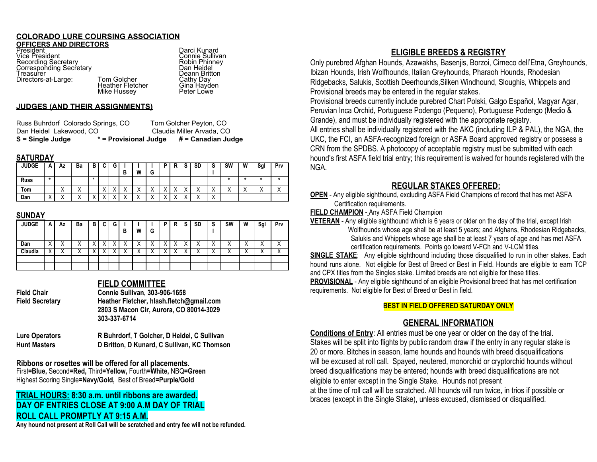### **COLORADO LURE COURSING ASSOCIATION**

**OFFICERS AND DIRECTORS**<br>President President Darci Kunard Darci Kunard<br>Vice President Nicolae Connie Sulliva **Recording Secretary** Corresponding Secretary<br>Treasurer Directors-at-Large: Tom Golcher Cathy Day<br>Heather Fletcher Cana Havden

Connie Sullivan<br>Robin Phinney<br>Dan Heidel Deann Britton<br>Tom Golcher Cathy Day Heather Fletcher Gina Hayde<br>Mike Hussey Reter Lowe

#### **JUDGES (AND THEIR ASSIGNMENTS)**

| S = Single Judge                   | * = Provisional Judge | # = Canadian Judge        |
|------------------------------------|-----------------------|---------------------------|
| Dan Heidel Lakewood, CO            |                       | Claudia Miller Arvada, CO |
| Russ Buhrdorf Colorado Springs, CO |                       | Tom Golcher Peyton, CO    |

Mike Hussey

#### **SATURDAY**

| <b>JUDGE</b> | A                         | Αz                   | Ba                   | в | r                      | G         | В                        | W                         | G                                     |           | Đ<br>в                                | e<br>G    | SD                   | S                                     | <b>SW</b> | W                      | Sgl                  | Prv                  |
|--------------|---------------------------|----------------------|----------------------|---|------------------------|-----------|--------------------------|---------------------------|---------------------------------------|-----------|---------------------------------------|-----------|----------------------|---------------------------------------|-----------|------------------------|----------------------|----------------------|
| <b>Russ</b>  | *                         |                      |                      | * |                        |           |                          |                           |                                       |           |                                       |           |                      |                                       | ×         | $\mathbf x$            | $\ddot{\phantom{1}}$ |                      |
| Tom          |                           | $\cdot$<br>$\lambda$ | $\cdot$<br>$\lambda$ |   | $\lambda$<br>$\lambda$ | $\lambda$ | $\lambda$<br>$\lambda$   | $\lambda$<br>⌒            | $\overline{\phantom{a}}$<br>$\lambda$ | $\lambda$ | $\lambda$<br>$\overline{\phantom{a}}$ | $\lambda$ | $\cdot$<br>$\lambda$ | $\lambda$<br>$\overline{\phantom{a}}$ |           | $\lambda$<br>$\lambda$ | $\cdot$<br>↗         | $\cdot$<br>$\lambda$ |
| Dan          | $\checkmark$<br>$\lambda$ | $\lambda$            | $\lambda$            | v |                        |           | $\overline{\phantom{a}}$ | $\checkmark$<br>$\Lambda$ | . .<br>$\lambda$                      |           |                                       |           | $\lambda$            | $\lambda$<br>$\sqrt{ }$               |           |                        |                      |                      |

### **SUNDAY**

| <b>JUDGE</b> | A                 | Αz        | Ba        | в | C | G | в                 | W                 | G                         | D | R                        | S | <b>SD</b>      | S                 | <b>SW</b>            | W                 | Sgl            | Prv                  |
|--------------|-------------------|-----------|-----------|---|---|---|-------------------|-------------------|---------------------------|---|--------------------------|---|----------------|-------------------|----------------------|-------------------|----------------|----------------------|
| Dan          | $\checkmark$<br>∧ | $\lambda$ | ⌒         |   | v |   | $\checkmark$<br>∧ | v<br>$\lambda$    | $\checkmark$<br>$\lambda$ |   | $\overline{\phantom{a}}$ |   | $\lambda$<br>⌒ | $\checkmark$<br>⌒ | $\cdot$<br>$\lambda$ | $\checkmark$<br>∧ | $\cdot$<br>⌒   | $\cdot$<br>$\lambda$ |
| Claudia      | $\checkmark$      | $\lambda$ | $\lambda$ |   |   |   | v<br>∧            | $\checkmark$<br>⌒ | $\lambda$                 |   |                          |   | $\lambda$      | v<br>$\sqrt{ }$   |                      | ↗                 | v<br>$\lambda$ |                      |
|              |                   |           |           |   |   |   |                   |                   |                           |   |                          |   |                |                   |                      |                   |                |                      |
|              |                   |           |           |   |   |   |                   |                   |                           |   |                          |   |                |                   |                      |                   |                |                      |

## **FIELD COMMITTEE**

| Field Chair     | <b>Connie Sullivan. 303-906-1658</b>     |
|-----------------|------------------------------------------|
| Field Secretary | Heather Fletcher, hlash.fletch@gmail.com |
|                 | 2803 S Macon Cir. Aurora, CO 80014-3029  |
|                 | 303-337-6714                             |
|                 |                                          |

| Lure Operators      | R Buhrdorf, T Golcher, D Heidel, C Sullivan |
|---------------------|---------------------------------------------|
| <b>Hunt Masters</b> | D Britton, D Kunard, C Sullivan, KC Thomson |

**Ribbons or rosettes will be offered for all placements.** First**=Blue,** Second**=Red,** Third**=Yellow,** Fourth**=White,** NBQ**=Green** Highest Scoring Single**=Navy/Gold,** Best of Breed**=Purple/Gold**

## **TRIAL HOURS: 8:30 a.m. until ribbons are awarded. DAY OF ENTRIES CLOSE AT 9:00 A.M DAY OF TRIAL ROLL CALL PROMPTLY AT 9:15 A.M.**

**Any hound not present at Roll Call will be scratched and entry fee will not be refunded.**

# **ELIGIBLE BREEDS & REGISTRY**

Only purebred Afghan Hounds, Azawakhs, Basenjis, Borzoi, Cirneco dell'Etna, Greyhounds, Ibizan Hounds, Irish Wolfhounds, Italian Greyhounds, Pharaoh Hounds, Rhodesian Ridgebacks, Salukis, Scottish Deerhounds,Silken Windhound, Sloughis, Whippets and Provisional breeds may be entered in the regular stakes.

Provisional breeds currently include purebred Chart Polski, Galgo Español, Magyar Agar, Peruvian Inca Orchid, Portuguese Podengo (Pequeno), Portuguese Podengo (Medio & Grande), and must be individually registered with the appropriate registry.

All entries shall be individually registered with the AKC (including ILP & PAL), the NGA, the UKC, the FCI, an ASFA-recognized foreign or ASFA Board approved registry or possess a CRN from the SPDBS. A photocopy of acceptable registry must be submitted with each hound's first ASFA field trial entry; this requirement is waived for hounds registered with the NGA.

## **REGULAR STAKES OFFERED:**

**OPEN** - Any eligible sighthound, excluding ASFA Field Champions of record that has met ASFA Certification requirements.

**FIELD CHAMPION** - Any ASFA Field Champion

**VETERAN** - Any eligible sighthound which is 6 years or older on the day of the trial, except Irish Wolfhounds whose age shall be at least 5 years; and Afghans, Rhodesian Ridgebacks, Salukis and Whippets whose age shall be at least 7 years of age and has met ASFA certification requirements. Points go toward V-FCh and V-LCM titles.

**SINGLE STAKE**: Any eligible sighthound including those disqualified to run in other stakes. Each hound runs alone. Not eligible for Best of Breed or Best in Field. Hounds are eligible to earn TCP and CPX titles from the Singles stake. Limited breeds are not eligible for these titles.

**PROVISIONAL** - Any eligible sighthound of an eligible Provisional breed that has met certification requirements. Not eligible for Best of Breed or Best in field.

### **BEST IN FIELD OFFERED SATURDAY ONLY**

## **GENERAL INFORMATION**

**Conditions of Entry**: All entries must be one year or older on the day of the trial. Stakes will be split into flights by public random draw if the entry in any regular stake is 20 or more. Bitches in season, lame hounds and hounds with breed disqualifications will be excused at roll call. Spayed, neutered, monorchid or cryptorchid hounds without breed disqualifications may be entered; hounds with breed disqualifications are not eligible to enter except in the Single Stake. Hounds not present at the time of roll call will be scratched. All hounds will run twice, in trios if possible or braces (except in the Single Stake), unless excused, dismissed or disqualified.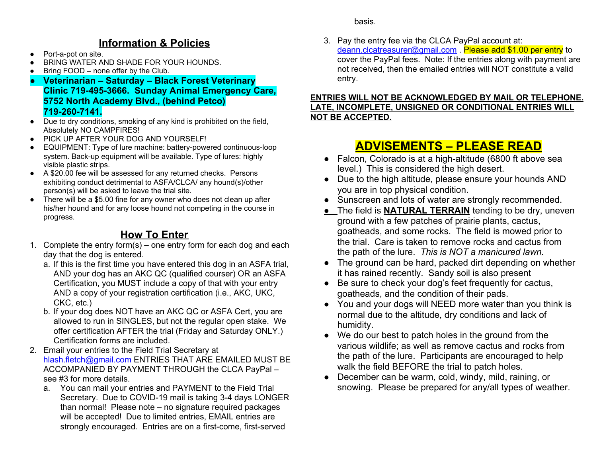# **Information & Policies**

- Port-a-pot on site.
- BRING WATER AND SHADE FOR YOUR HOUNDS.
- Bring FOOD none offer by the Club.
- **● Veterinarian Saturday Black Forest Veterinary Clinic 719-495-3666. Sunday Animal Emergency Care, 5752 North Academy Blvd., (behind Petco) 719-260-7141.**
- Due to dry conditions, smoking of any kind is prohibited on the field, Absolutely NO CAMPFIRES!
- PICK UP AFTER YOUR DOG AND YOURSELF!
- EQUIPMENT: Type of lure machine: battery-powered continuous-loop system. Back-up equipment will be available. Type of lures: highly visible plastic strips.
- A \$20.00 fee will be assessed for any returned checks. Persons exhibiting conduct detrimental to ASFA/CLCA/ any hound(s)/other person(s) will be asked to leave the trial site.
- There will be a \$5.00 fine for any owner who does not clean up after his/her hound and for any loose hound not competing in the course in progress.

# **How To Enter**

- 1. Complete the entry form(s) one entry form for each dog and each day that the dog is entered.
	- a. If this is the first time you have entered this dog in an ASFA trial, AND your dog has an AKC QC (qualified courser) OR an ASFA Certification, you MUST include a copy of that with your entry AND a copy of your registration certification (i.e., AKC, UKC, CKC, etc.)
	- b. If your dog does NOT have an AKC QC or ASFA Cert, you are allowed to run in SINGLES, but not the regular open stake. We offer certification AFTER the trial (Friday and Saturday ONLY.) Certification forms are included.
- 2. Email your entries to the Field Trial Secretary at hlash.fletch@gmail.com ENTRIES THAT ARE EMAILED MUST BE ACCOMPANIED BY PAYMENT THROUGH the CLCA PayPal – see #3 for more details.
	- a. You can mail your entries and PAYMENT to the Field Trial Secretary. Due to COVID-19 mail is taking 3-4 days LONGER than normal! Please note – no signature required packages will be accepted! Due to limited entries, EMAIL entries are strongly encouraged. Entries are on a first-come, first-served

basis.

3. Pay the entry fee via the CLCA PayPal account at: deann.clcatreasurer@gmail.com . Please add \$1.00 per entry to cover the PayPal fees. Note: If the entries along with payment are not received, then the emailed entries will NOT constitute a valid entry.

## **ENTRIES WILL NOT BE ACKNOWLEDGED BY MAIL OR TELEPHONE. LATE, INCOMPLETE, UNSIGNED OR CONDITIONAL ENTRIES WILL NOT BE ACCEPTED.**

# **ADVISEMENTS – PLEASE READ**

- Falcon, Colorado is at a high-altitude (6800 ft above sea level.) This is considered the high desert.
- Due to the high altitude, please ensure your hounds AND you are in top physical condition.
- Sunscreen and lots of water are strongly recommended.
- *●* The field is **NATURAL TERRAIN** tending to be dry, uneven ground with a few patches of prairie plants, cactus, goatheads, and some rocks. The field is mowed prior to the trial. Care is taken to remove rocks and cactus from the path of the lure. *This is NOT a manicured lawn.*
- The ground can be hard, packed dirt depending on whether it has rained recently. Sandy soil is also present
- Be sure to check your dog's feet frequently for cactus, goatheads, and the condition of their pads.
- You and your dogs will NEED more water than you think is normal due to the altitude, dry conditions and lack of humidity.
- We do our best to patch holes in the ground from the various wildlife; as well as remove cactus and rocks from the path of the lure. Participants are encouraged to help walk the field BEFORE the trial to patch holes.
- December can be warm, cold, windy, mild, raining, or snowing. Please be prepared for any/all types of weather.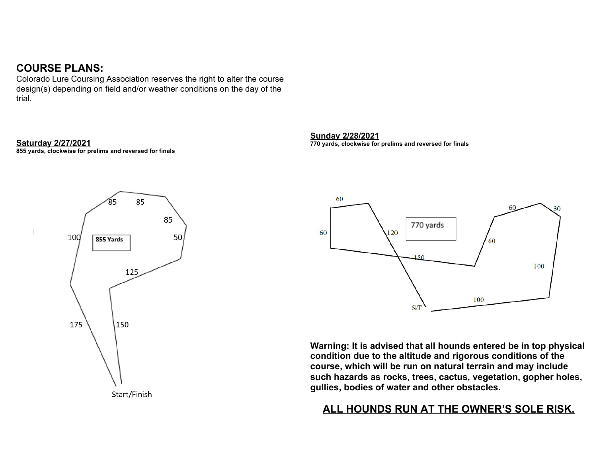# **COURSE PLANS:**

Colorado Lure Coursing Association reserves the right to alter the course design(s) depending on field and/or weather conditions on the day of the trial.

## **Saturday 2/27/2021**

**855 yards, clockwise for prelims and reversed for finals**



### Start/Finish

### **Sunday 2/28/2021**

**770 yards, clockwise for prelims and reversed for finals**



**Warning: It is advised that all hounds entered be in top physical condition due to the altitude and rigorous conditions of the course, which will be run on natural terrain and may include such hazards as rocks, trees, cactus, vegetation, gopher holes, gullies, bodies of water and other obstacles.**

# **ALL HOUNDS RUN AT THE OWNER'S SOLE RISK.**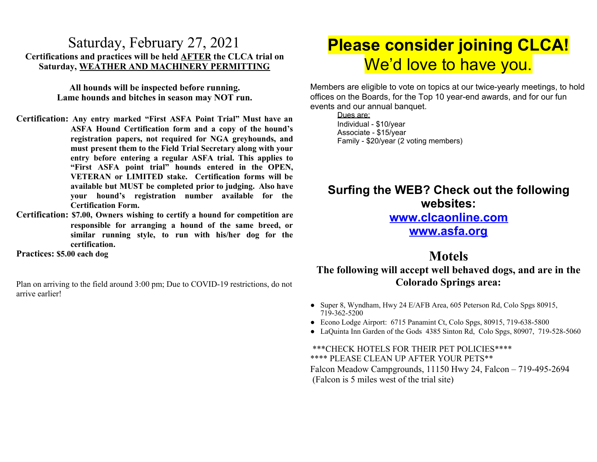# Saturday, February 27, 2021 **Certifications and practices will be held AFTER the CLCA trial on Saturday, WEATHER AND MACHINERY PERMITTING**

**All hounds will be inspected before running. Lame hounds and bitches in season may NOT run.**

- **Certification: Any entry marked "First ASFA Point Trial" Must have an ASFA Hound Certification form and a copy of the hound's registration papers, not required for NGA greyhounds, and must present them to the Field Trial Secretary along with your entry before entering a regular ASFA trial. This applies to "First ASFA point trial" hounds entered in the OPEN, VETERAN or LIMITED stake. Certification forms will be available but MUST be completed prior to judging. Also have your hound's registration number available for the Certification Form.**
- **Certification: \$7.00, Owners wishing to certify a hound for competition are responsible for arranging a hound of the same breed, or similar running style, to run with his/her dog for the certification.**

**Practices: \$5.00 each dog**

Plan on arriving to the field around 3:00 pm; Due to COVID-19 restrictions, do not arrive earlier!

# **Please consider joining CLCA!** We'd love to have you.

Members are eligible to vote on topics at our twice-yearly meetings, to hold offices on the Boards, for the Top 10 year-end awards, and for our fun events and our annual banquet.

Dues are: Individual - \$10/year Associate - \$15/year Family - \$20/year (2 voting members)

# **Surfing the WEB? Check out the following websites:**

# **www.clcaonline.com**

**www.asfa.org**

# **Motels**

# **The following will accept well behaved dogs, and are in the Colorado Springs area:**

- Super 8, Wyndham, Hwy 24 E/AFB Area, 605 Peterson Rd, Colo Spgs 80915, 719-362-5200
- Econo Lodge Airport: 6715 Panamint Ct, Colo Spgs, 80915, 719-638-5800
- LaQuinta Inn Garden of the Gods 4385 Sinton Rd, Colo Spgs, 80907, 719-528-5060

## \*\*\*CHECK HOTELS FOR THEIR PET POLICIES\*\*\*\* \*\*\*\* PLEASE CLEAN UP AFTER YOUR PETS\*\* Falcon Meadow Campgrounds, 11150 Hwy 24, Falcon – 719-495-2694 (Falcon is 5 miles west of the trial site)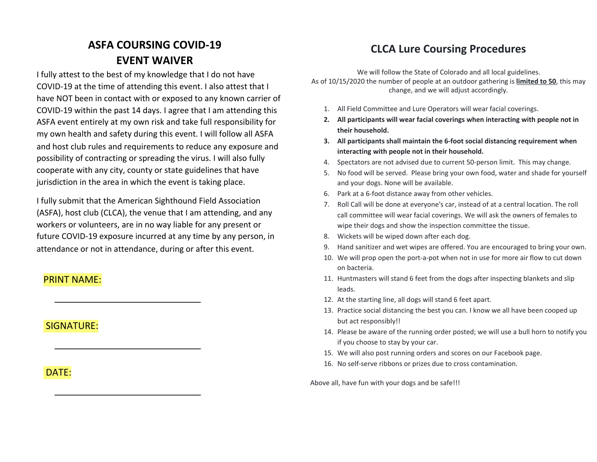# **ASFA COURSING COVID-19 EVENT WAIVER**

I fully attest to the best of my knowledge that I do not have COVID-19 at the time of attending this event. I also attest that I have NOT been in contact with or exposed to any known carrier of COVID-19 within the past 14 days. I agree that I am attending this ASFA event entirely at my own risk and take full responsibility for my own health and safety during this event. I will follow all ASFA and host club rules and requirements to reduce any exposure and possibility of contracting or spreading the virus. I will also fully cooperate with any city, county or state guidelines that have jurisdiction in the area in which the event is taking place.

I fully submit that the American Sighthound Field Association (ASFA), host club (CLCA), the venue that I am attending, and any workers or volunteers, are in no way liable for any present or future COVID-19 exposure incurred at any time by any person, in attendance or not in attendance, during or after this event.

## PRINT NAME:

## SIGNATURE:

## DATE:

# **CLCA Lure Coursing Procedures**

We will follow the State of Colorado and all local guidelines. As of 10/15/2020 the number of people at an outdoor gathering is **limited to 50**, this may change, and we will adjust accordingly.

- 1. All Field Committee and Lure Operators will wear facial coverings.
- **2. All participants will wear facial coverings when interacting with people not in their household.**
- **3. All participants shall maintain the 6-foot social distancing requirement when interacting with people not in their household.**
- 4. Spectators are not advised due to current 50-person limit. This may change.
- 5. No food will be served. Please bring your own food, water and shade for yourself and your dogs. None will be available.
- 6. Park at a 6-foot distance away from other vehicles.
- 7. Roll Call will be done at everyone's car, instead of at a central location. The roll call committee will wear facial coverings. We will ask the owners of females to wipe their dogs and show the inspection committee the tissue.
- 8. Wickets will be wiped down after each dog.
- 9. Hand sanitizer and wet wipes are offered. You are encouraged to bring your own.
- 10. We will prop open the port-a-pot when not in use for more air flow to cut down on bacteria.
- 11. Huntmasters will stand 6 feet from the dogs after inspecting blankets and slip leads.
- 12. At the starting line, all dogs will stand 6 feet apart.
- 13. Practice social distancing the best you can. I know we all have been cooped up but act responsibly!!
- 14. Please be aware of the running order posted; we will use a bull horn to notify you if you choose to stay by your car.
- 15. We will also post running orders and scores on our Facebook page.
- 16. No self-serve ribbons or prizes due to cross contamination.

Above all, have fun with your dogs and be safe!!!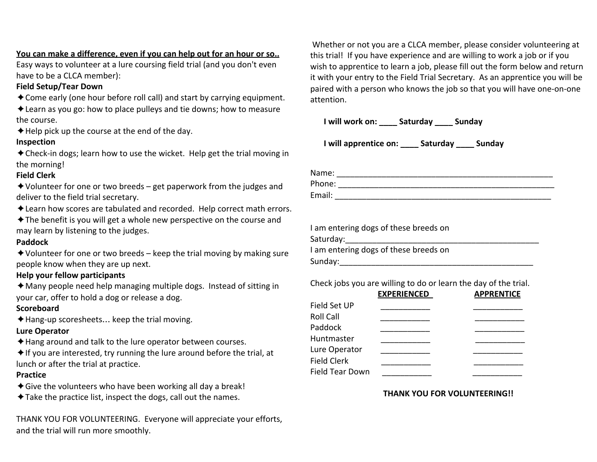**You can make a difference, even if you can help out for an hour or so..** Easy ways to volunteer at a lure coursing field trial (and you don't even

have to be a CLCA member):

## **Field Setup/Tear Down**

✦Come early (one hour before roll call) and start by carrying equipment.

✦Learn as you go: how to place pulleys and tie downs; how to measure the course.

 $\triangle$  Help pick up the course at the end of the day.

# **Inspection**

✦Check-in dogs; learn how to use the wicket. Help get the trial moving in the morning!

# **Field Clerk**

 $\triangle$  Volunteer for one or two breeds – get paperwork from the judges and deliver to the field trial secretary.

✦Learn how scores are tabulated and recorded. Help correct math errors.

✦The benefit is you will get a whole new perspective on the course and may learn by listening to the judges.

## **Paddock**

 $\triangle$  Volunteer for one or two breeds – keep the trial moving by making sure people know when they are up next.

# **Help your fellow participants**

 $\triangle$  Many people need help managing multiple dogs. Instead of sitting in your car, offer to hold a dog or release a dog.

# **Scoreboard**

✦Hang-up scoresheets… keep the trial moving.

# **Lure Operator**

- ✦Hang around and talk to the lure operator between courses.
- $\triangleq$  If you are interested, try running the lure around before the trial, at lunch or after the trial at practice.

# **Practice**

- ✦Give the volunteers who have been working all day a break!
- ✦Take the practice list, inspect the dogs, call out the names.

THANK YOU FOR VOLUNTEERING. Everyone will appreciate your efforts, and the trial will run more smoothly.

 Whether or not you are a CLCA member, please consider volunteering at this trial! If you have experience and are willing to work a job or if you wish to apprentice to learn a job, please fill out the form below and return it with your entry to the Field Trial Secretary. As an apprentice you will be paired with a person who knows the job so that you will have one-on-one attention.

**I will work on: \_\_\_\_ Saturday \_\_\_\_ Sunday**

**I will apprentice on: \_\_\_\_ Saturday \_\_\_\_ Sunday**

| Name:  |  |
|--------|--|
| Phone: |  |
| Email: |  |

| I am entering dogs of these breeds on |
|---------------------------------------|
| Saturday:                             |
| I am entering dogs of these breeds on |
| Sunday:                               |
|                                       |

Check jobs you are willing to do or learn the day of the trial.

|                 | <b>EXPERIENCED</b> | <b>APPRENTICE</b> |
|-----------------|--------------------|-------------------|
| Field Set UP    |                    |                   |
| Roll Call       |                    |                   |
| Paddock         |                    |                   |
| Huntmaster      |                    |                   |
| Lure Operator   |                    |                   |
| Field Clerk     |                    |                   |
| Field Tear Down |                    |                   |

## **THANK YOU FOR VOLUNTEERING!!**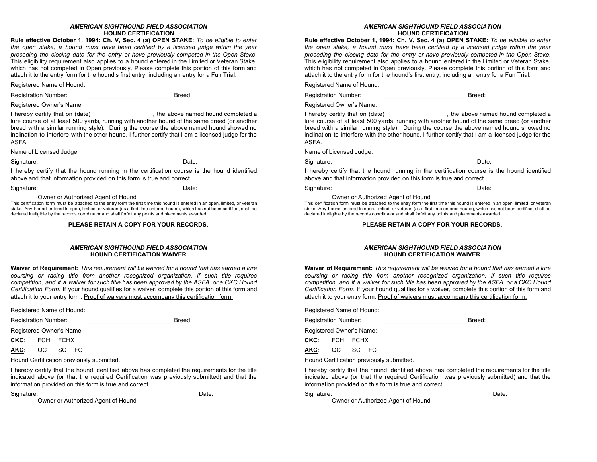#### *AMERICAN SIGHTHOUND FIELD ASSOCIATION* **HOUND CERTIFICATION**

**Rule effective October 1, 1994: Ch. V, Sec. 4 (a) OPEN STAKE:** *To be eligible to enter the open stake, a hound must have been certified by a licensed judge within the year preceding the closing date for the entry or have previously competed in the Open Stake.* This eligibility requirement also applies to a hound entered in the Limited or Veteran Stake, which has not competed in Open previously. Please complete this portion of this form and attach it to the entry form for the hound's first entry, including an entry for a Fun Trial.

Registered Name of Hound:

Registration Number: **Example 2** Breed:

Registered Owner's Name:

I hereby certify that on (date) example the above named hound completed a lure course of at least 500 yards, running with another hound of the same breed (or another breed with a similar running style). During the course the above named hound showed no inclination to interfere with the other hound. I further certify that I am a licensed judge for the ASFA.

Name of Licensed Judge:

#### Signature: Date: Date: Date: Date: Date: Date: Date: Date: Date: Date: Date: Date: Date: Date: Date: Date: Date: Date: Date: Date: Date: Date: Date: Date: Date: Date: Date: Date: Date: Date: Date: Date: Date: Date: Date: D

I hereby certify that the hound running in the certification course is the hound identified above and that information provided on this form is true and correct.

Signature: Date: Date: Date: Date: Date: Date: Date: Date: Date: Date: Date: Date: Date: Date: Date: Date: Date: Date: Date: Date: Date: Date: Date: Date: Date: Date: Date: Date: Date: Date: Date: Date: Date: Date: Date: D

Owner or Authorized Agent of Hound

This certification form must be attached to the entry form the first time this hound is entered in an open, limited, or veteran stake. Any hound entered in open, limited, or veteran (as a first time entered hound), which has not been certified, shall be declared ineligible by the records coordinator and shall forfeit any points and placements awarded.

**PLEASE RETAIN A COPY FOR YOUR RECORDS.**

#### *AMERICAN SIGHTHOUND FIELD ASSOCIATION* **HOUND CERTIFICATION WAIVER**

**Waiver of Requirement:** *This requirement will be waived for a hound that has earned a lure coursing or racing title from another recognized organization, if such title requires competition, and if a waiver for such title has been approved by the ASFA, or a CKC Hound Certification Form.* If your hound qualifies for a waiver, complete this portion of this form and attach it to your entry form. Proof of waivers must accompany this certification form.

Registered Name of Hound:

Registration Number: **Example 2** Breed:

Registered Owner's Name:

**CKC**: FCH FCHX

**AKC**: QC SC FC

Hound Certification previously submitted.

I hereby certify that the hound identified above has completed the requirements for the title indicated above (or that the required Certification was previously submitted) and that the information provided on this form is true and correct.

Signature: \_\_\_\_\_\_\_\_\_\_\_\_\_\_\_\_\_\_\_\_\_\_\_\_\_\_\_\_\_\_\_\_\_\_\_\_\_\_\_\_\_\_\_\_\_\_\_ Date:

Owner or Authorized Agent of Hound

#### *AMERICAN SIGHTHOUND FIELD ASSOCIATION* **HOUND CERTIFICATION**

**Rule effective October 1, 1994: Ch. V, Sec. 4 (a) OPEN STAKE:** *To be eligible to enter the open stake, a hound must have been certified by a licensed judge within the year preceding the closing date for the entry or have previously competed in the Open Stake.* This eligibility requirement also applies to a hound entered in the Limited or Veteran Stake, which has not competed in Open previously. Please complete this portion of this form and attach it to the entry form for the hound's first entry, including an entry for a Fun Trial.

Registered Name of Hound:

Registration Number: **Example 2** Breed:

Registered Owner's Name:

I hereby certify that on (date) example the above named hound completed a lure course of at least 500 yards, running with another hound of the same breed (or another breed with a similar running style). During the course the above named hound showed no inclination to interfere with the other hound. I further certify that I am a licensed judge for the ASFA.

Name of Licensed Judge:

Signature: Date: Date: Date: Date: Date: Date: Date: Date: Date: Date: Date: Date: Date: Date: Date: Date: Date: Date: Date: Date: Date: Date: Date: Date: Date: Date: Date: Date: Date: Date: Date: Date: Date: Date: Date: D

I hereby certify that the hound running in the certification course is the hound identified above and that information provided on this form is true and correct.

Signature: Date: Date: Date: Date: Date: Date: Date: Date: Date: Date: Date: Date: Date: Date: Date: Date: Date: Date: Date: Date: Date: Date: Date: Date: Date: Date: Date: Date: Date: Date: Date: Date: Date: Date: Date: D

Owner or Authorized Agent of Hound

This certification form must be attached to the entry form the first time this hound is entered in an open, limited, or veteran stake. Any hound entered in open, limited, or veteran (as a first time entered hound), which has not been certified, shall be declared ineligible by the records coordinator and shall forfeit any points and placements awarded.

#### **PLEASE RETAIN A COPY FOR YOUR RECORDS.**

#### *AMERICAN SIGHTHOUND FIELD ASSOCIATION* **HOUND CERTIFICATION WAIVER**

**Waiver of Requirement:** *This requirement will be waived for a hound that has earned a lure coursing or racing title from another recognized organization, if such title requires competition, and if a waiver for such title has been approved by the ASFA, or a CKC Hound Certification Form.* If your hound qualifies for a waiver, complete this portion of this form and attach it to your entry form. Proof of waivers must accompany this certification form.

Registered Name of Hound:

Registration Number: **Example 2** Breed:

Registered Owner's Name:

**CKC**: FCH FCHX

**AKC**: QC SC FC

Hound Certification previously submitted.

I hereby certify that the hound identified above has completed the requirements for the title indicated above (or that the required Certification was previously submitted) and that the information provided on this form is true and correct.

Signature: \_\_\_\_\_\_\_\_\_\_\_\_\_\_\_\_\_\_\_\_\_\_\_\_\_\_\_\_\_\_\_\_\_\_\_\_\_\_\_\_\_\_\_\_\_\_\_ Date:

Owner or Authorized Agent of Hound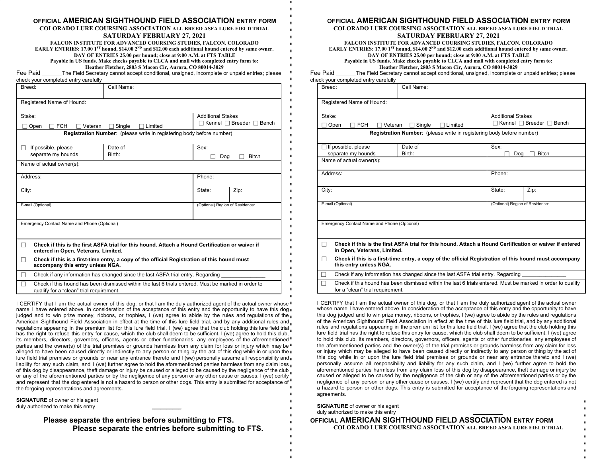#### **OFFICIAL AMERICAN SIGHTHOUND FIELD ASSOCIATION ENTRY FORM**

**COLORADO LURE COURSING ASSOCIATION ALL BREED ASFA LURE FIELD TRIAL SATURDAY FEBRUARY 27, 2021**

**FALCON INSTITUTE FOR ADVANCED COURSING STUDIES, FALCON. COLORADO** EARLY ENTRIES: 17.00 1 $^{\rm ST}$  hound, \$14.00 2 $^{\rm ND}$  and \$12.00 each additional hound entered by same owner. **DAY OF ENTRIES 25.00 per hound; close at 9:00 A.M. at FTS TABLE Payable in US funds. Make checks payable to CLCA and mail with completed entry form to: Heather Fletcher, 2803 S Macon Cir, Aurora, CO 80014-3029**

Fee Paid The Field Secretary cannot accept conditional, unsigned, incomplete or unpaid entries; please check your completed entry carefully

| Breed:                                                                                                                                          | Call Name:                                                                                  |                                 |                                    |  |  |  |
|-------------------------------------------------------------------------------------------------------------------------------------------------|---------------------------------------------------------------------------------------------|---------------------------------|------------------------------------|--|--|--|
| Registered Name of Hound:                                                                                                                       |                                                                                             |                                 |                                    |  |  |  |
| Stake:                                                                                                                                          |                                                                                             | <b>Additional Stakes</b>        |                                    |  |  |  |
| <b>FCH</b><br>Open<br>Veteran                                                                                                                   | Single<br>Limited                                                                           |                                 | Kennel $\Box$ Breeder $\Box$ Bench |  |  |  |
|                                                                                                                                                 | Registration Number: (please write in registering body before number)                       |                                 |                                    |  |  |  |
| If possible, please                                                                                                                             | Date of                                                                                     | Sex:                            |                                    |  |  |  |
| separate my hounds                                                                                                                              | Birth:                                                                                      | Dog                             | <b>Bitch</b>                       |  |  |  |
| Name of actual owner(s):                                                                                                                        |                                                                                             |                                 |                                    |  |  |  |
| Address:                                                                                                                                        | Phone:                                                                                      |                                 |                                    |  |  |  |
| City:                                                                                                                                           |                                                                                             | State:                          | Zip:                               |  |  |  |
| E-mail (Optional)                                                                                                                               |                                                                                             | (Optional) Region of Residence: |                                    |  |  |  |
| Emergency Contact Name and Phone (Optional)                                                                                                     |                                                                                             |                                 |                                    |  |  |  |
|                                                                                                                                                 |                                                                                             |                                 |                                    |  |  |  |
| Check if this is the first ASFA trial for this hound. Attach a Hound Certification or waiver if<br>П<br>entered in Open, Veterans, Limited.     |                                                                                             |                                 |                                    |  |  |  |
| П<br>accompany this entry unless NGA.                                                                                                           | Check if this is a first-time entry, a copy of the official Registration of this hound must |                                 |                                    |  |  |  |
| П                                                                                                                                               | Check if any information has changed since the last ASFA trial entry. Regarding             |                                 |                                    |  |  |  |
| Check if this hound has been dismissed within the last 6 trials entered. Must be marked in order to<br>qualify for a "clean" trial requirement. |                                                                                             |                                 |                                    |  |  |  |

I CERTIFY that I am the actual owner of this dog, or that I am the duly authorized agent of the actual owner whose  $*$ name I have entered above. In consideration of the acceptance of this entry and the opportunity to have this dog judged and to win prize money, ribbons, or trophies, I (we) agree to abide by the rules and regulations of the American Sighthound Field Association in effect at the time of this lure field trial, and by any additional rules and regulations appearing in the premium list for this lure field trial. I (we) agree that the club holding this lure field trial has the right to refuse this entry for cause, which the club shall deem to be sufficient. I (we) agree to hold this club, its members, directors, governors, officers, agents or other functionaries, any employees of the aforementioned parties and the owner(s) of the trial premises or grounds harmless from any claim for loss or injury which may be alleged to have been caused directly or indirectly to any person or thing by the act of this dog while in or upon the lure field trial premises or grounds or near any entrance thereto and I (we) personally assume all responsibility and liability for any such claim, and I (we) further agree to hold the aforementioned parties harmless from any claim loss of this dog by disappearance, theft damage or injury be caused or alleged to be caused by the negligence of the club or any of the aforementioned parties or by the negligence of any person or any other cause or causes. I (we) certify and represent that the dog entered is not a hazard to person or other dogs. This entry is submitted for acceptance of the forgoing representations and agreements.

**SIGNATURE** of owner or his agent duly authorized to make this entry

> **Please separate the entries before submitting to FTS. Please separate the entries before submitting to FTS.**

#### **OFFICIAL AMERICAN SIGHTHOUND FIELD ASSOCIATION ENTRY FORM**

**COLORADO LURE COURSING ASSOCIATION ALL BREED ASFA LURE FIELD TRIAL SATURDAY FEBRUARY 27, 2021**

**FALCON INSTITUTE FOR ADVANCED COURSING STUDIES, FALCON. COLORADO** EARLY ENTRIES: 17.00 1 $^{\rm ST}$  hound, \$14.00 2 $^{\rm ND}$  and \$12.00 each additional hound entered by same owner. **DAY OF ENTRIES 25.00 per hound; close at 9:00 A.M. at FTS TABLE Payable in US funds. Make checks payable to CLCA and mail with completed entry form to: Heather Fletcher, 2803 S Macon Cir, Aurora, CO 80014-3029**

Fee Paid The Field Secretary cannot accept conditional, unsigned, incomplete or unpaid entries; please check your completed entry carefully

| Breed:                                                                                                                                          | Call Name:                                                                                                                             |                          |                                           |  |  |  |  |
|-------------------------------------------------------------------------------------------------------------------------------------------------|----------------------------------------------------------------------------------------------------------------------------------------|--------------------------|-------------------------------------------|--|--|--|--|
| Registered Name of Hound:                                                                                                                       |                                                                                                                                        |                          |                                           |  |  |  |  |
| Stake:                                                                                                                                          |                                                                                                                                        | <b>Additional Stakes</b> |                                           |  |  |  |  |
| <b>FCH</b><br>Open<br>Veteran                                                                                                                   | Limited<br>Single                                                                                                                      |                          | $\Box$ Kennel $\Box$ Breeder $\Box$ Bench |  |  |  |  |
|                                                                                                                                                 | Registration Number: (please write in registering body before number)                                                                  |                          |                                           |  |  |  |  |
| $\Box$ If possible, please                                                                                                                      | Date of                                                                                                                                | Sex:                     |                                           |  |  |  |  |
| separate my hounds                                                                                                                              | Birth:                                                                                                                                 | Dog                      | <b>Bitch</b>                              |  |  |  |  |
| Name of actual owner(s):                                                                                                                        |                                                                                                                                        |                          |                                           |  |  |  |  |
| Address:                                                                                                                                        | Phone:                                                                                                                                 |                          |                                           |  |  |  |  |
| City:                                                                                                                                           |                                                                                                                                        | State:                   | Zip:                                      |  |  |  |  |
| E-mail (Optional)                                                                                                                               | (Optional) Region of Residence:                                                                                                        |                          |                                           |  |  |  |  |
| Emergency Contact Name and Phone (Optional)                                                                                                     |                                                                                                                                        |                          |                                           |  |  |  |  |
| П                                                                                                                                               | Check if this is the first ASFA trial for this hound. Attach a Hound Certification or waiver if entered<br>in Open, Veterans, Limited. |                          |                                           |  |  |  |  |
| Check if this is a first-time entry, a copy of the official Registration of this hound must accompany<br>П<br>this entry unless NGA.            |                                                                                                                                        |                          |                                           |  |  |  |  |
|                                                                                                                                                 | Check if any information has changed since the last ASFA trial entry. Regarding                                                        |                          |                                           |  |  |  |  |
| Check if this hound has been dismissed within the last 6 trials entered. Must be marked in order to qualify<br>for a "clean" trial requirement. |                                                                                                                                        |                          |                                           |  |  |  |  |

I CERTIFY that I am the actual owner of this dog, or that I am the duly authorized agent of the actual owner whose name I have entered above. In consideration of the acceptance of this entry and the opportunity to have this dog judged and to win prize money, ribbons, or trophies, I (we) agree to abide by the rules and regulations of the American Sighthound Field Association in effect at the time of this lure field trial, and by any additional rules and regulations appearing in the premium list for this lure field trial. I (we) agree that the club holding this lure field trial has the right to refuse this entry for cause, which the club shall deem to be sufficient. I (we) agree to hold this club, its members, directors, governors, officers, agents or other functionaries, any employees of the aforementioned parties and the owner(s) of the trial premises or grounds harmless from any claim for loss or injury which may be alleged to have been caused directly or indirectly to any person or thing by the act of this dog while in or upon the lure field trial premises or grounds or near any entrance thereto and I (we) personally assume all responsibility and liability for any such claim, and I (we) further agree to hold the aforementioned parties harmless from any claim loss of this dog by disappearance, theft damage or injury be caused or alleged to be caused by the negligence of the club or any of the aforementioned parties or by the negligence of any person or any other cause or causes. I (we) certify and represent that the dog entered is not a hazard to person or other dogs. This entry is submitted for acceptance of the forgoing representations and agreements.

| <b>SIGNATURE</b> of owner or his agent<br>duly authorized to make this entry |  |
|------------------------------------------------------------------------------|--|
| OFFICIAL <b>AMERICAN SIGHTHOUND FIELD ASSOCIATION</b> ENTRY FORM             |  |
| <b>COLORADO LURE COURSING ASSOCIATION ALL BREED ASFA LURE FIELD TRIAL</b>    |  |